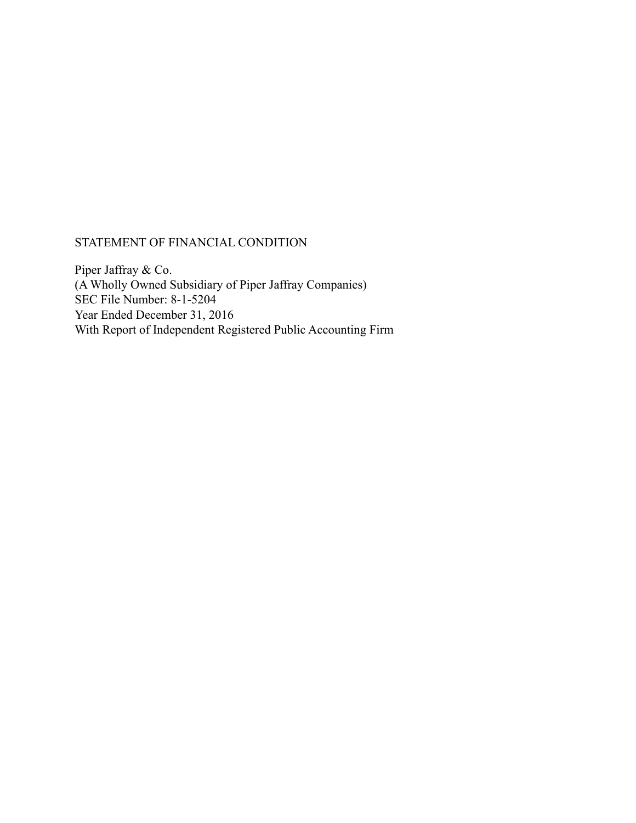## STATEMENT OF FINANCIAL CONDITION

Piper Jaffray & Co. (A Wholly Owned Subsidiary of Piper Jaffray Companies) SEC File Number: 8-1-5204 Year Ended December 31, 2016 With Report of Independent Registered Public Accounting Firm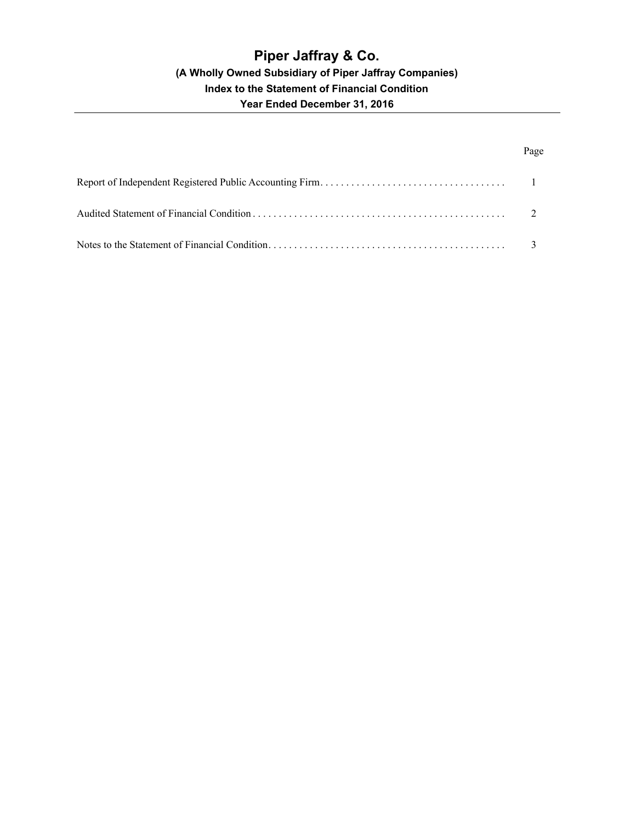## Page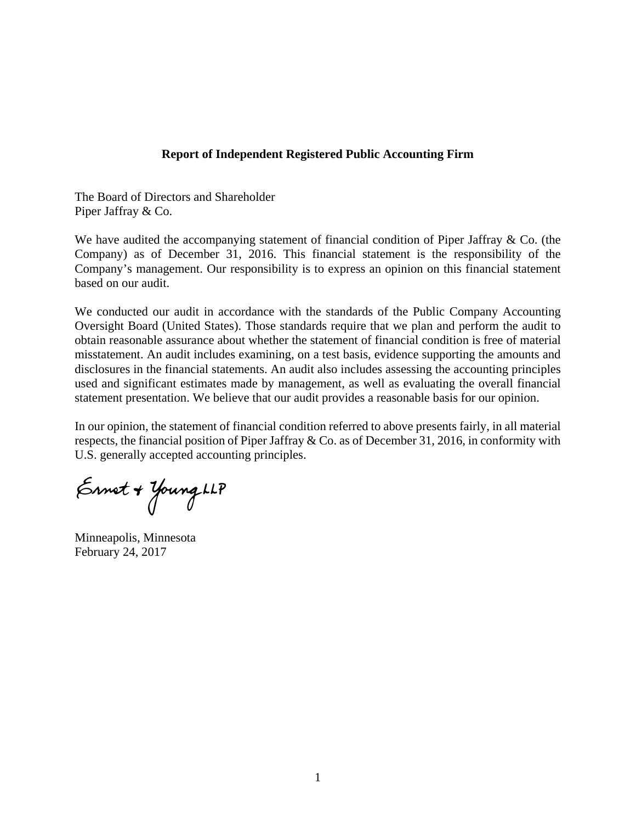### **Report of Independent Registered Public Accounting Firm**

The Board of Directors and Shareholder Piper Jaffray & Co.

We have audited the accompanying statement of financial condition of Piper Jaffray & Co. (the Company) as of December 31, 2016. This financial statement is the responsibility of the Company's management. Our responsibility is to express an opinion on this financial statement based on our audit.

We conducted our audit in accordance with the standards of the Public Company Accounting Oversight Board (United States). Those standards require that we plan and perform the audit to obtain reasonable assurance about whether the statement of financial condition is free of material misstatement. An audit includes examining, on a test basis, evidence supporting the amounts and disclosures in the financial statements. An audit also includes assessing the accounting principles used and significant estimates made by management, as well as evaluating the overall financial statement presentation. We believe that our audit provides a reasonable basis for our opinion.

In our opinion, the statement of financial condition referred to above presents fairly, in all material respects, the financial position of Piper Jaffray & Co. as of December 31, 2016, in conformity with U.S. generally accepted accounting principles.

Ennet + Young LLP

Minneapolis, Minnesota February 24, 2017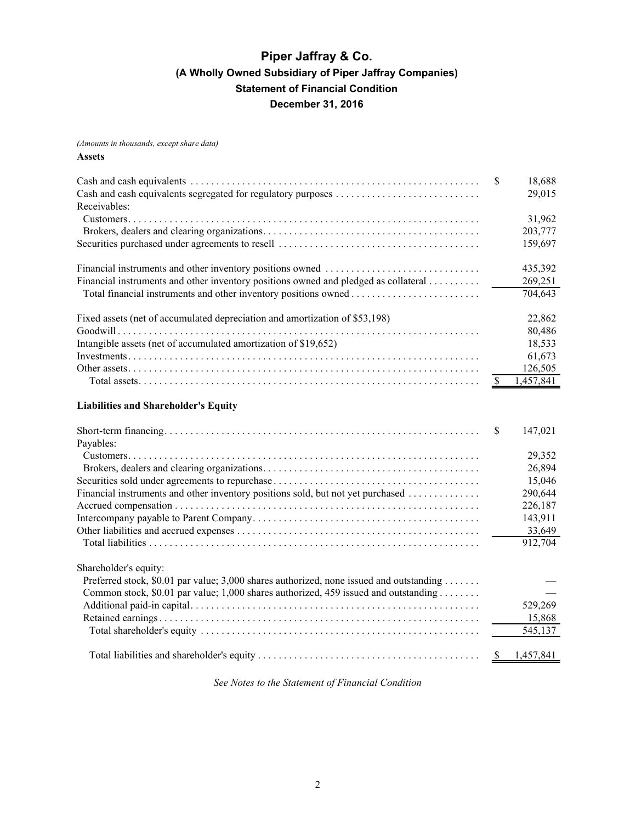<span id="page-3-0"></span>*(Amounts in thousands, except share data)* **Assets**

| Receivables:                                                                        | -S | 18,688<br>29,015 |
|-------------------------------------------------------------------------------------|----|------------------|
|                                                                                     |    | 31,962           |
|                                                                                     |    | 203,777          |
|                                                                                     |    | 159,697          |
|                                                                                     |    | 435,392          |
| Financial instruments and other inventory positions owned and pledged as collateral |    | 269,251          |
|                                                                                     |    | 704,643          |
| Fixed assets (net of accumulated depreciation and amortization of \$53,198)         |    | 22,862           |
|                                                                                     |    | 80,486           |
| Intangible assets (net of accumulated amortization of \$19,652)                     |    | 18,533           |
|                                                                                     |    | 61,673           |
|                                                                                     |    | 126,505          |
|                                                                                     |    | 1,457,841        |
|                                                                                     |    |                  |

### **Liabilities and Shareholder's Equity**

|                                                                                         | <sup>\$</sup> | 147,021 |
|-----------------------------------------------------------------------------------------|---------------|---------|
| Payables:                                                                               |               |         |
|                                                                                         |               | 29,352  |
|                                                                                         |               | 26,894  |
|                                                                                         |               | 15,046  |
| Financial instruments and other inventory positions sold, but not yet purchased         |               | 290,644 |
|                                                                                         |               | 226,187 |
|                                                                                         |               | 143,911 |
|                                                                                         |               | 33,649  |
|                                                                                         |               | 912,704 |
| Shareholder's equity:                                                                   |               |         |
| Preferred stock, \$0.01 par value; 3,000 shares authorized, none issued and outstanding |               |         |
| Common stock, \$0.01 par value; 1,000 shares authorized, 459 issued and outstanding     |               |         |
|                                                                                         |               | 529,269 |
|                                                                                         |               | 15,868  |
|                                                                                         |               | 545,137 |
|                                                                                         |               |         |

*See Notes to the Statement of Financial Condition*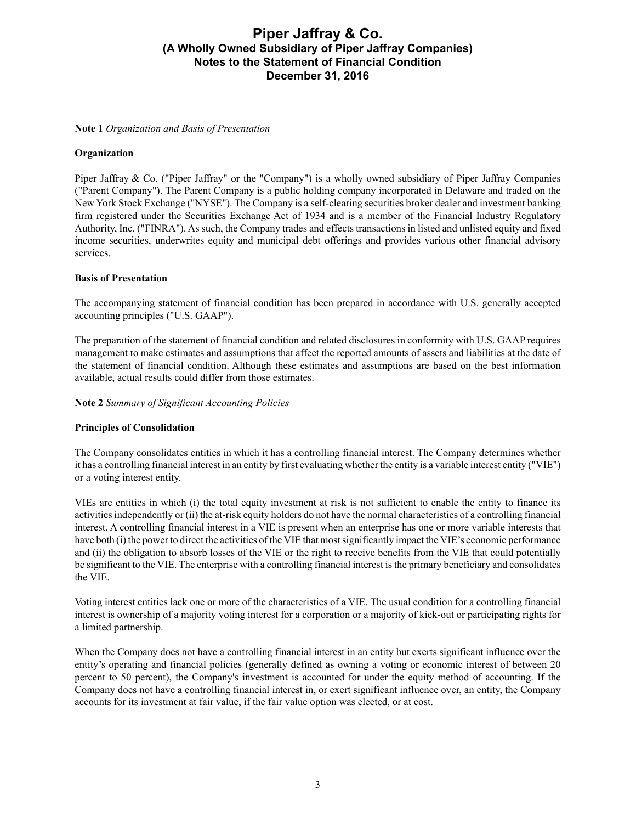#### <span id="page-4-0"></span>**Note 1** *Organization and Basis of Presentation*

### **Organization**

Piper Jaffray & Co. ("Piper Jaffray" or the "Company") is a wholly owned subsidiary of Piper Jaffray Companies ("Parent Company"). The Parent Company is a public holding company incorporated in Delaware and traded on the New York Stock Exchange ("NYSE"). The Company is a self-clearing securities broker dealer and investment banking firm registered under the Securities Exchange Act of 1934 and is a member of the Financial Industry Regulatory Authority, Inc. ("FINRA"). As such, the Company trades and effects transactions in listed and unlisted equity and fixed income securities, underwrites equity and municipal debt offerings and provides various other financial advisory services.

### **Basis of Presentation**

The accompanying statement of financial condition has been prepared in accordance with U.S. generally accepted accounting principles ("U.S. GAAP").

The preparation of the statement of financial condition and related disclosures in conformity with U.S. GAAPrequires management to make estimates and assumptions that affect the reported amounts of assets and liabilities at the date of the statement of financial condition. Although these estimates and assumptions are based on the best information available, actual results could differ from those estimates.

### **Note 2** *Summary of Significant Accounting Policies*

### **Principles of Consolidation**

The Company consolidates entities in which it has a controlling financial interest. The Company determines whether it has a controlling financial interest in an entity by first evaluating whether the entity is a variable interest entity ("VIE") or a voting interest entity.

VIEs are entities in which (i) the total equity investment at risk is not sufficient to enable the entity to finance its activities independently or (ii) the at-risk equity holders do not have the normal characteristics of a controlling financial interest. A controlling financial interest in a VIE is present when an enterprise has one or more variable interests that have both (i) the power to direct the activities of the VIE that most significantly impact the VIE's economic performance and (ii) the obligation to absorb losses of the VIE or the right to receive benefits from the VIE that could potentially be significant to the VIE. The enterprise with a controlling financial interest is the primary beneficiary and consolidates the VIE.

Voting interest entities lack one or more of the characteristics of a VIE. The usual condition for a controlling financial interest is ownership of a majority voting interest for a corporation or a majority of kick-out or participating rights for a limited partnership.

When the Company does not have a controlling financial interest in an entity but exerts significant influence over the entity's operating and financial policies (generally defined as owning a voting or economic interest of between 20 percent to 50 percent), the Company's investment is accounted for under the equity method of accounting. If the Company does not have a controlling financial interest in, or exert significant influence over, an entity, the Company accounts for its investment at fair value, if the fair value option was elected, or at cost.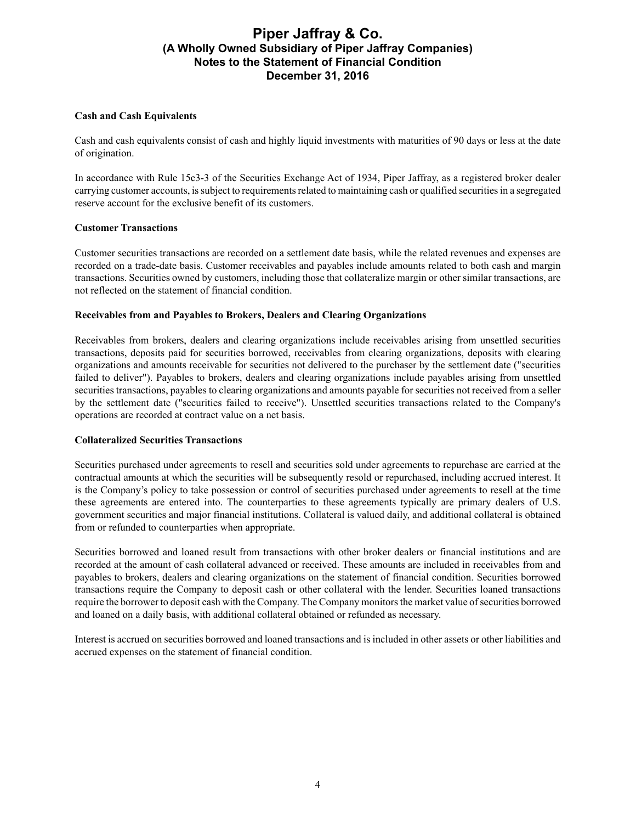### **Cash and Cash Equivalents**

Cash and cash equivalents consist of cash and highly liquid investments with maturities of 90 days or less at the date of origination.

In accordance with Rule 15c3-3 of the Securities Exchange Act of 1934, Piper Jaffray, as a registered broker dealer carrying customer accounts, is subject to requirements related to maintaining cash or qualified securities in a segregated reserve account for the exclusive benefit of its customers.

### **Customer Transactions**

Customer securities transactions are recorded on a settlement date basis, while the related revenues and expenses are recorded on a trade-date basis. Customer receivables and payables include amounts related to both cash and margin transactions. Securities owned by customers, including those that collateralize margin or other similar transactions, are not reflected on the statement of financial condition.

### **Receivables from and Payables to Brokers, Dealers and Clearing Organizations**

Receivables from brokers, dealers and clearing organizations include receivables arising from unsettled securities transactions, deposits paid for securities borrowed, receivables from clearing organizations, deposits with clearing organizations and amounts receivable for securities not delivered to the purchaser by the settlement date ("securities failed to deliver"). Payables to brokers, dealers and clearing organizations include payables arising from unsettled securities transactions, payables to clearing organizations and amounts payable for securities not received from a seller by the settlement date ("securities failed to receive"). Unsettled securities transactions related to the Company's operations are recorded at contract value on a net basis.

### **Collateralized Securities Transactions**

Securities purchased under agreements to resell and securities sold under agreements to repurchase are carried at the contractual amounts at which the securities will be subsequently resold or repurchased, including accrued interest. It is the Company's policy to take possession or control of securities purchased under agreements to resell at the time these agreements are entered into. The counterparties to these agreements typically are primary dealers of U.S. government securities and major financial institutions. Collateral is valued daily, and additional collateral is obtained from or refunded to counterparties when appropriate.

Securities borrowed and loaned result from transactions with other broker dealers or financial institutions and are recorded at the amount of cash collateral advanced or received. These amounts are included in receivables from and payables to brokers, dealers and clearing organizations on the statement of financial condition. Securities borrowed transactions require the Company to deposit cash or other collateral with the lender. Securities loaned transactions require the borrower to deposit cash with the Company. The Company monitors the market value of securities borrowed and loaned on a daily basis, with additional collateral obtained or refunded as necessary.

Interest is accrued on securities borrowed and loaned transactions and is included in other assets or other liabilities and accrued expenses on the statement of financial condition.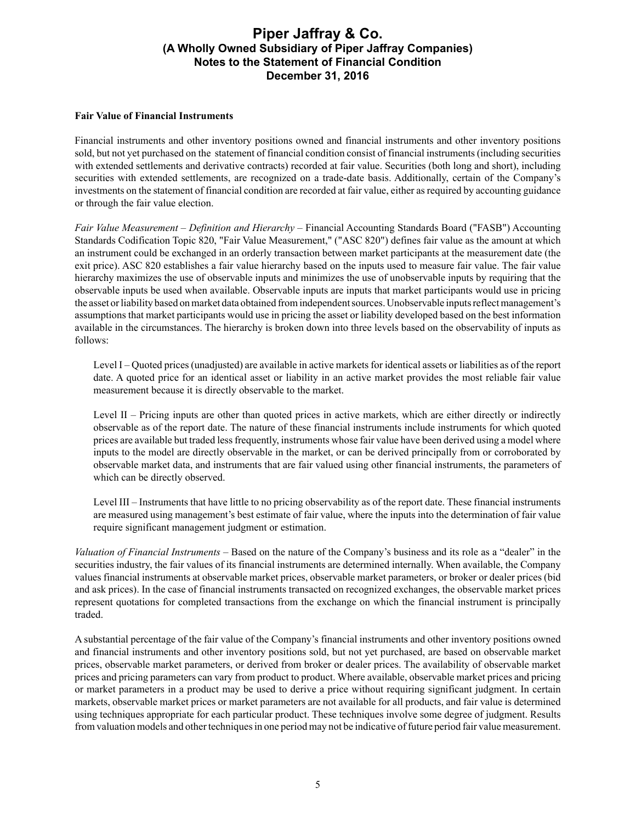### **Fair Value of Financial Instruments**

Financial instruments and other inventory positions owned and financial instruments and other inventory positions sold, but not yet purchased on the statement of financial condition consist of financial instruments (including securities with extended settlements and derivative contracts) recorded at fair value. Securities (both long and short), including securities with extended settlements, are recognized on a trade-date basis. Additionally, certain of the Company's investments on the statement of financial condition are recorded at fair value, either as required by accounting guidance or through the fair value election.

*Fair Value Measurement* – *Definition and Hierarchy* – Financial Accounting Standards Board ("FASB") Accounting Standards Codification Topic 820, "Fair Value Measurement," ("ASC 820") defines fair value as the amount at which an instrument could be exchanged in an orderly transaction between market participants at the measurement date (the exit price). ASC 820 establishes a fair value hierarchy based on the inputs used to measure fair value. The fair value hierarchy maximizes the use of observable inputs and minimizes the use of unobservable inputs by requiring that the observable inputs be used when available. Observable inputs are inputs that market participants would use in pricing the asset or liability based on market data obtained from independent sources. Unobservable inputs reflect management's assumptions that market participants would use in pricing the asset or liability developed based on the best information available in the circumstances. The hierarchy is broken down into three levels based on the observability of inputs as follows:

Level I – Quoted prices (unadjusted) are available in active markets for identical assets or liabilities as of the report date. A quoted price for an identical asset or liability in an active market provides the most reliable fair value measurement because it is directly observable to the market.

Level II – Pricing inputs are other than quoted prices in active markets, which are either directly or indirectly observable as of the report date. The nature of these financial instruments include instruments for which quoted prices are available but traded less frequently, instruments whose fair value have been derived using a model where inputs to the model are directly observable in the market, or can be derived principally from or corroborated by observable market data, and instruments that are fair valued using other financial instruments, the parameters of which can be directly observed.

Level III – Instruments that have little to no pricing observability as of the report date. These financial instruments are measured using management's best estimate of fair value, where the inputs into the determination of fair value require significant management judgment or estimation.

*Valuation of Financial Instruments* – Based on the nature of the Company's business and its role as a "dealer" in the securities industry, the fair values of its financial instruments are determined internally. When available, the Company values financial instruments at observable market prices, observable market parameters, or broker or dealer prices (bid and ask prices). In the case of financial instruments transacted on recognized exchanges, the observable market prices represent quotations for completed transactions from the exchange on which the financial instrument is principally traded.

A substantial percentage of the fair value of the Company's financial instruments and other inventory positions owned and financial instruments and other inventory positions sold, but not yet purchased, are based on observable market prices, observable market parameters, or derived from broker or dealer prices. The availability of observable market prices and pricing parameters can vary from product to product. Where available, observable market prices and pricing or market parameters in a product may be used to derive a price without requiring significant judgment. In certain markets, observable market prices or market parameters are not available for all products, and fair value is determined using techniques appropriate for each particular product. These techniques involve some degree of judgment. Results from valuation models and other techniques in one period may not be indicative of future period fair value measurement.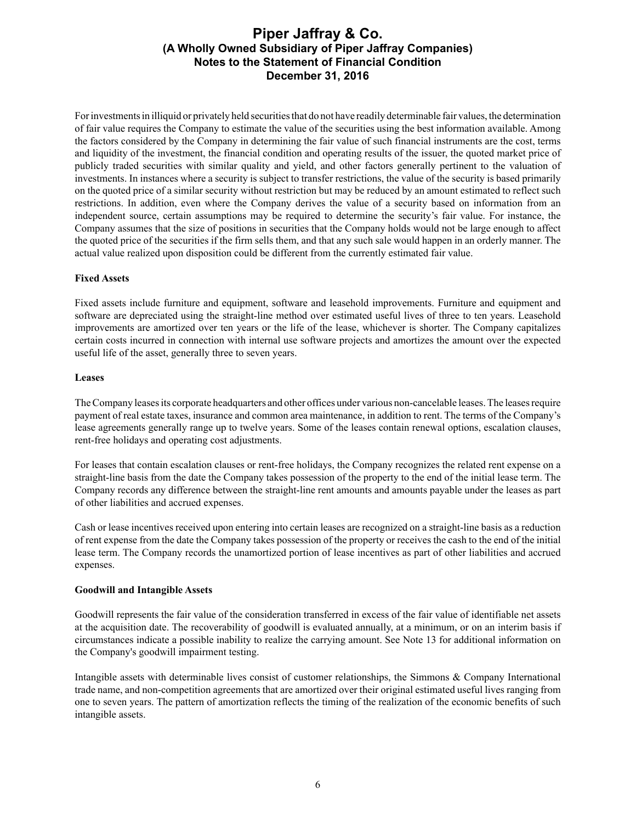For investments in illiquid or privately held securities that do not have readily determinable fair values, the determination of fair value requires the Company to estimate the value of the securities using the best information available. Among the factors considered by the Company in determining the fair value of such financial instruments are the cost, terms and liquidity of the investment, the financial condition and operating results of the issuer, the quoted market price of publicly traded securities with similar quality and yield, and other factors generally pertinent to the valuation of investments. In instances where a security is subject to transfer restrictions, the value of the security is based primarily on the quoted price of a similar security without restriction but may be reduced by an amount estimated to reflect such restrictions. In addition, even where the Company derives the value of a security based on information from an independent source, certain assumptions may be required to determine the security's fair value. For instance, the Company assumes that the size of positions in securities that the Company holds would not be large enough to affect the quoted price of the securities if the firm sells them, and that any such sale would happen in an orderly manner. The actual value realized upon disposition could be different from the currently estimated fair value.

### **Fixed Assets**

Fixed assets include furniture and equipment, software and leasehold improvements. Furniture and equipment and software are depreciated using the straight-line method over estimated useful lives of three to ten years. Leasehold improvements are amortized over ten years or the life of the lease, whichever is shorter. The Company capitalizes certain costs incurred in connection with internal use software projects and amortizes the amount over the expected useful life of the asset, generally three to seven years.

#### **Leases**

The Company leases its corporate headquarters and other offices under various non-cancelable leases. The leases require payment of real estate taxes, insurance and common area maintenance, in addition to rent. The terms of the Company's lease agreements generally range up to twelve years. Some of the leases contain renewal options, escalation clauses, rent-free holidays and operating cost adjustments.

For leases that contain escalation clauses or rent-free holidays, the Company recognizes the related rent expense on a straight-line basis from the date the Company takes possession of the property to the end of the initial lease term. The Company records any difference between the straight-line rent amounts and amounts payable under the leases as part of other liabilities and accrued expenses.

Cash or lease incentives received upon entering into certain leases are recognized on a straight-line basis as a reduction of rent expense from the date the Company takes possession of the property or receives the cash to the end of the initial lease term. The Company records the unamortized portion of lease incentives as part of other liabilities and accrued expenses.

### **Goodwill and Intangible Assets**

Goodwill represents the fair value of the consideration transferred in excess of the fair value of identifiable net assets at the acquisition date. The recoverability of goodwill is evaluated annually, at a minimum, or on an interim basis if circumstances indicate a possible inability to realize the carrying amount. See Note 13 for additional information on the Company's goodwill impairment testing.

Intangible assets with determinable lives consist of customer relationships, the Simmons & Company International trade name, and non-competition agreements that are amortized over their original estimated useful lives ranging from one to seven years. The pattern of amortization reflects the timing of the realization of the economic benefits of such intangible assets.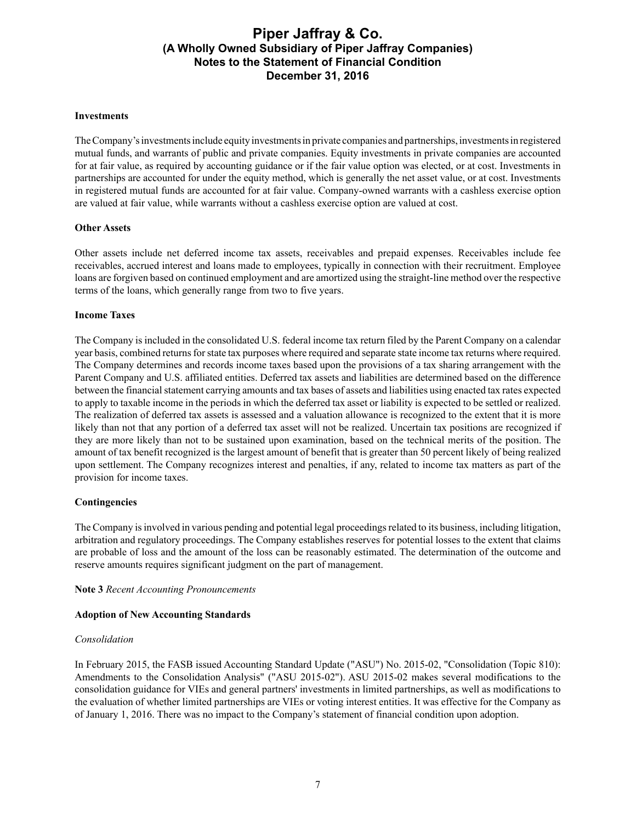#### **Investments**

The Company's investments include equity investments in private companies and partnerships, investments in registered mutual funds, and warrants of public and private companies. Equity investments in private companies are accounted for at fair value, as required by accounting guidance or if the fair value option was elected, or at cost. Investments in partnerships are accounted for under the equity method, which is generally the net asset value, or at cost. Investments in registered mutual funds are accounted for at fair value. Company-owned warrants with a cashless exercise option are valued at fair value, while warrants without a cashless exercise option are valued at cost.

### **Other Assets**

Other assets include net deferred income tax assets, receivables and prepaid expenses. Receivables include fee receivables, accrued interest and loans made to employees, typically in connection with their recruitment. Employee loans are forgiven based on continued employment and are amortized using the straight-line method over the respective terms of the loans, which generally range from two to five years.

#### **Income Taxes**

The Company is included in the consolidated U.S. federal income tax return filed by the Parent Company on a calendar year basis, combined returns for state tax purposes where required and separate state income tax returns where required. The Company determines and records income taxes based upon the provisions of a tax sharing arrangement with the Parent Company and U.S. affiliated entities. Deferred tax assets and liabilities are determined based on the difference between the financial statement carrying amounts and tax bases of assets and liabilities using enacted tax rates expected to apply to taxable income in the periods in which the deferred tax asset or liability is expected to be settled or realized. The realization of deferred tax assets is assessed and a valuation allowance is recognized to the extent that it is more likely than not that any portion of a deferred tax asset will not be realized. Uncertain tax positions are recognized if they are more likely than not to be sustained upon examination, based on the technical merits of the position. The amount of tax benefit recognized is the largest amount of benefit that is greater than 50 percent likely of being realized upon settlement. The Company recognizes interest and penalties, if any, related to income tax matters as part of the provision for income taxes.

#### **Contingencies**

The Company is involved in various pending and potential legal proceedings related to its business, including litigation, arbitration and regulatory proceedings. The Company establishes reserves for potential losses to the extent that claims are probable of loss and the amount of the loss can be reasonably estimated. The determination of the outcome and reserve amounts requires significant judgment on the part of management.

#### **Note 3** *Recent Accounting Pronouncements*

#### **Adoption of New Accounting Standards**

#### *Consolidation*

In February 2015, the FASB issued Accounting Standard Update ("ASU") No. 2015-02, "Consolidation (Topic 810): Amendments to the Consolidation Analysis" ("ASU 2015-02"). ASU 2015-02 makes several modifications to the consolidation guidance for VIEs and general partners' investments in limited partnerships, as well as modifications to the evaluation of whether limited partnerships are VIEs or voting interest entities. It was effective for the Company as of January 1, 2016. There was no impact to the Company's statement of financial condition upon adoption.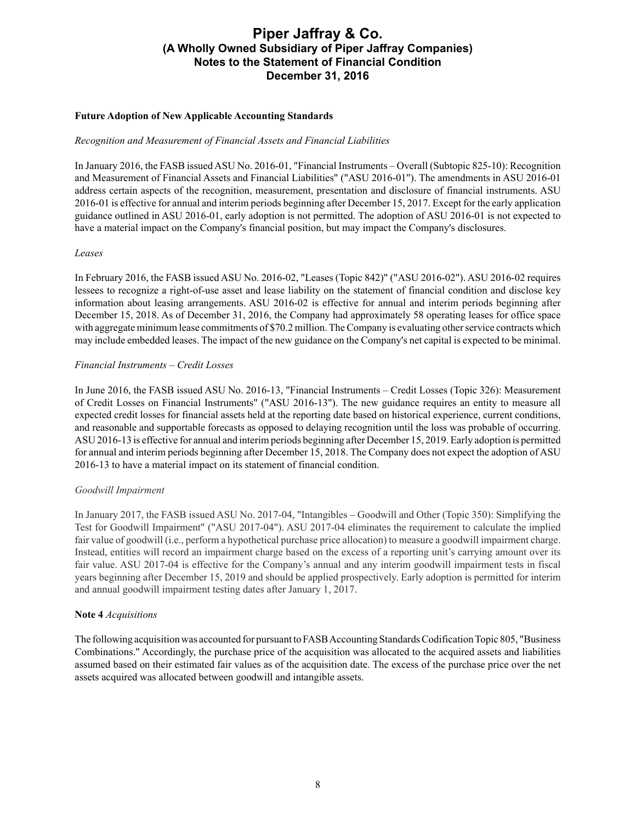### **Future Adoption of New Applicable Accounting Standards**

#### *Recognition and Measurement of Financial Assets and Financial Liabilities*

In January 2016, the FASB issued ASU No. 2016-01, "Financial Instruments – Overall (Subtopic 825-10): Recognition and Measurement of Financial Assets and Financial Liabilities" ("ASU 2016-01"). The amendments in ASU 2016-01 address certain aspects of the recognition, measurement, presentation and disclosure of financial instruments. ASU 2016-01 is effective for annual and interim periods beginning after December 15, 2017. Except for the early application guidance outlined in ASU 2016-01, early adoption is not permitted. The adoption of ASU 2016-01 is not expected to have a material impact on the Company's financial position, but may impact the Company's disclosures.

#### *Leases*

In February 2016, the FASB issued ASU No. 2016-02, "Leases (Topic 842)" ("ASU 2016-02"). ASU 2016-02 requires lessees to recognize a right-of-use asset and lease liability on the statement of financial condition and disclose key information about leasing arrangements. ASU 2016-02 is effective for annual and interim periods beginning after December 15, 2018. As of December 31, 2016, the Company had approximately 58 operating leases for office space with aggregate minimum lease commitments of \$70.2 million. The Company is evaluating other service contracts which may include embedded leases. The impact of the new guidance on the Company's net capital is expected to be minimal.

### *Financial Instruments* – *Credit Losses*

In June 2016, the FASB issued ASU No. 2016-13, "Financial Instruments – Credit Losses (Topic 326): Measurement of Credit Losses on Financial Instruments" ("ASU 2016-13"). The new guidance requires an entity to measure all expected credit losses for financial assets held at the reporting date based on historical experience, current conditions, and reasonable and supportable forecasts as opposed to delaying recognition until the loss was probable of occurring. ASU 2016-13 is effective for annual and interim periods beginning after December 15, 2019. Early adoption is permitted for annual and interim periods beginning after December 15, 2018. The Company does not expect the adoption of ASU 2016-13 to have a material impact on its statement of financial condition.

#### *Goodwill Impairment*

In January 2017, the FASB issued ASU No. 2017-04, "Intangibles – Goodwill and Other (Topic 350): Simplifying the Test for Goodwill Impairment" ("ASU 2017-04"). ASU 2017-04 eliminates the requirement to calculate the implied fair value of goodwill (i.e., perform a hypothetical purchase price allocation) to measure a goodwill impairment charge. Instead, entities will record an impairment charge based on the excess of a reporting unit's carrying amount over its fair value. ASU 2017-04 is effective for the Company's annual and any interim goodwill impairment tests in fiscal years beginning after December 15, 2019 and should be applied prospectively. Early adoption is permitted for interim and annual goodwill impairment testing dates after January 1, 2017.

### **Note 4** *Acquisitions*

The following acquisition was accounted for pursuant to FASB Accounting Standards Codification Topic 805, "Business Combinations." Accordingly, the purchase price of the acquisition was allocated to the acquired assets and liabilities assumed based on their estimated fair values as of the acquisition date. The excess of the purchase price over the net assets acquired was allocated between goodwill and intangible assets.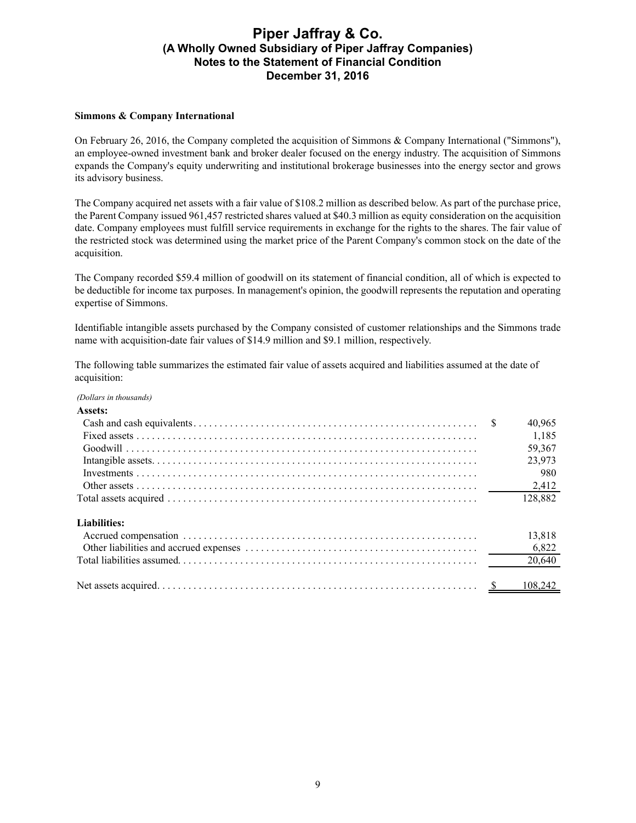### **Simmons & Company International**

On February 26, 2016, the Company completed the acquisition of Simmons & Company International ("Simmons"), an employee-owned investment bank and broker dealer focused on the energy industry. The acquisition of Simmons expands the Company's equity underwriting and institutional brokerage businesses into the energy sector and grows its advisory business.

The Company acquired net assets with a fair value of \$108.2 million as described below. As part of the purchase price, the Parent Company issued 961,457 restricted shares valued at \$40.3 million as equity consideration on the acquisition date. Company employees must fulfill service requirements in exchange for the rights to the shares. The fair value of the restricted stock was determined using the market price of the Parent Company's common stock on the date of the acquisition.

The Company recorded \$59.4 million of goodwill on its statement of financial condition, all of which is expected to be deductible for income tax purposes. In management's opinion, the goodwill represents the reputation and operating expertise of Simmons.

Identifiable intangible assets purchased by the Company consisted of customer relationships and the Simmons trade name with acquisition-date fair values of \$14.9 million and \$9.1 million, respectively.

The following table summarizes the estimated fair value of assets acquired and liabilities assumed at the date of acquisition:

| (Dollars in thousands) |         |
|------------------------|---------|
| Assets:                |         |
|                        | 40,965  |
|                        | 1,185   |
|                        | 59,367  |
|                        | 23,973  |
|                        | 980     |
|                        | 2,412   |
|                        | 128,882 |
| Liabilities:           |         |
|                        | 13,818  |
|                        | 6,822   |
|                        | 20,640  |
|                        | 108.242 |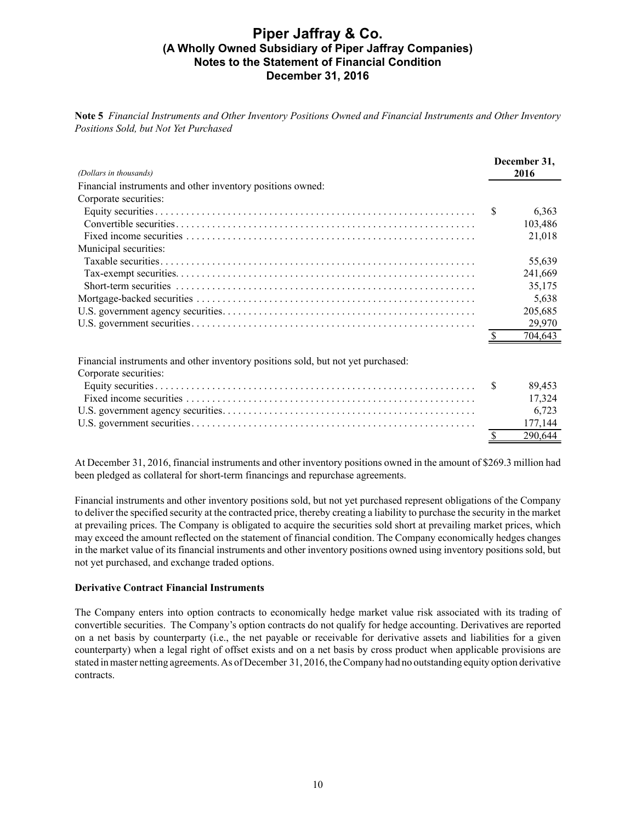**Note 5** *Financial Instruments and Other Inventory Positions Owned and Financial Instruments and Other Inventory Positions Sold, but Not Yet Purchased*

| (Dollars in thousands)                                     |    | December 31.<br>2016 |
|------------------------------------------------------------|----|----------------------|
| Financial instruments and other inventory positions owned: |    |                      |
| Corporate securities:                                      |    |                      |
|                                                            | -S | 6,363                |
|                                                            |    | 103,486              |
|                                                            |    | 21,018               |
| Municipal securities:                                      |    |                      |
|                                                            |    | 55,639               |
|                                                            |    | 241,669              |
|                                                            |    | 35,175               |
|                                                            |    | 5,638                |
|                                                            |    | 205,685              |
|                                                            |    | 29,970               |
|                                                            |    | 704.643              |

Financial instruments and other inventory positions sold, but not yet purchased:

| Corporate securities: |         |
|-----------------------|---------|
|                       | 89 453  |
|                       | 17.324  |
|                       | 6.723   |
|                       |         |
|                       | 290.644 |

At December 31, 2016, financial instruments and other inventory positions owned in the amount of \$269.3 million had been pledged as collateral for short-term financings and repurchase agreements.

Financial instruments and other inventory positions sold, but not yet purchased represent obligations of the Company to deliver the specified security at the contracted price, thereby creating a liability to purchase the security in the market at prevailing prices. The Company is obligated to acquire the securities sold short at prevailing market prices, which may exceed the amount reflected on the statement of financial condition. The Company economically hedges changes in the market value of its financial instruments and other inventory positions owned using inventory positions sold, but not yet purchased, and exchange traded options.

### **Derivative Contract Financial Instruments**

The Company enters into option contracts to economically hedge market value risk associated with its trading of convertible securities. The Company's option contracts do not qualify for hedge accounting. Derivatives are reported on a net basis by counterparty (i.e., the net payable or receivable for derivative assets and liabilities for a given counterparty) when a legal right of offset exists and on a net basis by cross product when applicable provisions are stated in master netting agreements. As of December 31, 2016, the Company had no outstanding equity option derivative contracts.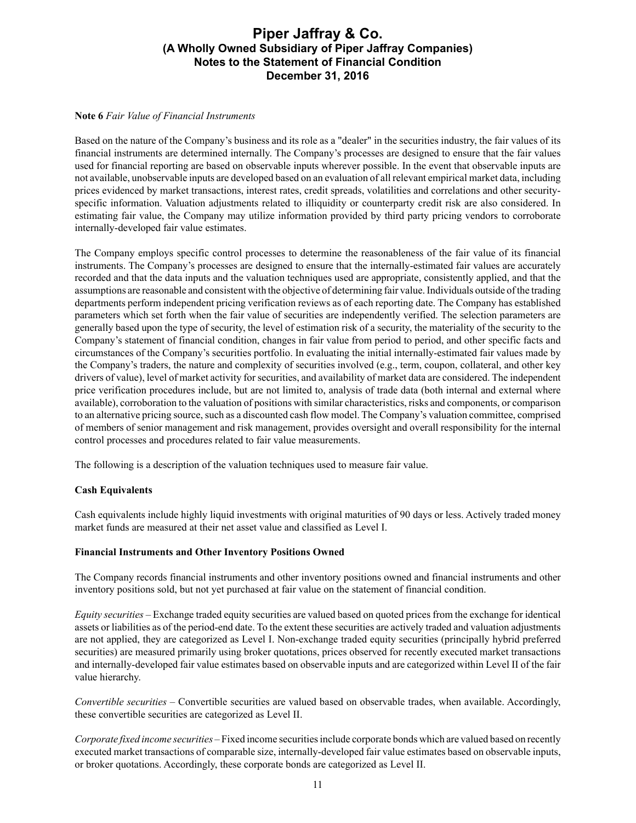### **Note 6** *Fair Value of Financial Instruments*

Based on the nature of the Company's business and its role as a "dealer" in the securities industry, the fair values of its financial instruments are determined internally. The Company's processes are designed to ensure that the fair values used for financial reporting are based on observable inputs wherever possible. In the event that observable inputs are not available, unobservable inputs are developed based on an evaluation of all relevant empirical market data, including prices evidenced by market transactions, interest rates, credit spreads, volatilities and correlations and other securityspecific information. Valuation adjustments related to illiquidity or counterparty credit risk are also considered. In estimating fair value, the Company may utilize information provided by third party pricing vendors to corroborate internally-developed fair value estimates.

The Company employs specific control processes to determine the reasonableness of the fair value of its financial instruments. The Company's processes are designed to ensure that the internally-estimated fair values are accurately recorded and that the data inputs and the valuation techniques used are appropriate, consistently applied, and that the assumptions are reasonable and consistent with the objective of determining fair value. Individuals outside of the trading departments perform independent pricing verification reviews as of each reporting date. The Company has established parameters which set forth when the fair value of securities are independently verified. The selection parameters are generally based upon the type of security, the level of estimation risk of a security, the materiality of the security to the Company's statement of financial condition, changes in fair value from period to period, and other specific facts and circumstances of the Company's securities portfolio. In evaluating the initial internally-estimated fair values made by the Company's traders, the nature and complexity of securities involved (e.g., term, coupon, collateral, and other key drivers of value), level of market activity for securities, and availability of market data are considered. The independent price verification procedures include, but are not limited to, analysis of trade data (both internal and external where available), corroboration to the valuation of positions with similar characteristics, risks and components, or comparison to an alternative pricing source, such as a discounted cash flow model. The Company's valuation committee, comprised of members of senior management and risk management, provides oversight and overall responsibility for the internal control processes and procedures related to fair value measurements.

The following is a description of the valuation techniques used to measure fair value.

### **Cash Equivalents**

Cash equivalents include highly liquid investments with original maturities of 90 days or less. Actively traded money market funds are measured at their net asset value and classified as Level I.

### **Financial Instruments and Other Inventory Positions Owned**

The Company records financial instruments and other inventory positions owned and financial instruments and other inventory positions sold, but not yet purchased at fair value on the statement of financial condition.

*Equity securities –* Exchange traded equity securities are valued based on quoted prices from the exchange for identical assets or liabilities as of the period-end date. To the extent these securities are actively traded and valuation adjustments are not applied, they are categorized as Level I. Non-exchange traded equity securities (principally hybrid preferred securities) are measured primarily using broker quotations, prices observed for recently executed market transactions and internally-developed fair value estimates based on observable inputs and are categorized within Level II of the fair value hierarchy.

*Convertible securities –* Convertible securities are valued based on observable trades, when available. Accordingly, these convertible securities are categorized as Level II.

*Corporate fixed income securities –*Fixed income securities include corporate bonds which are valued based on recently executed market transactions of comparable size, internally-developed fair value estimates based on observable inputs, or broker quotations. Accordingly, these corporate bonds are categorized as Level II.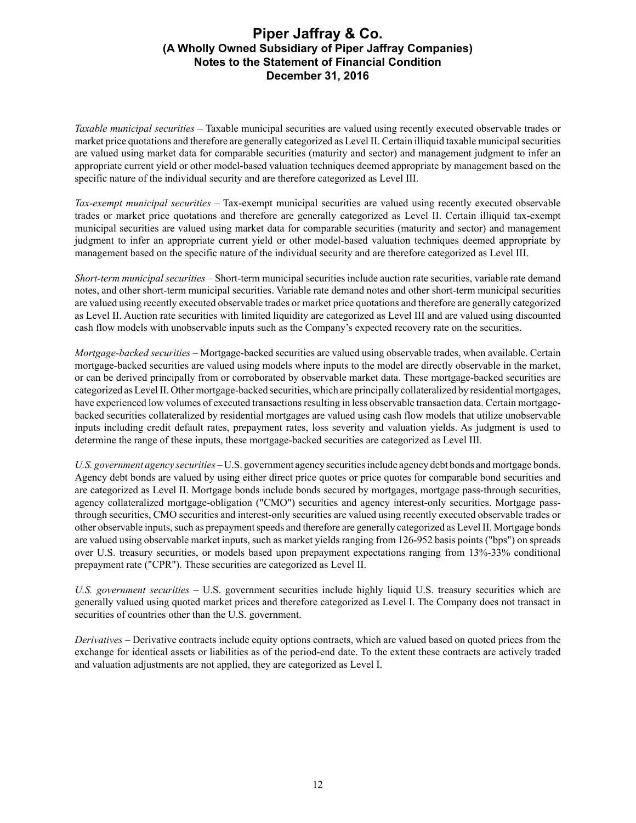*Taxable municipal securities –* Taxable municipal securities are valued using recently executed observable trades or market price quotations and therefore are generally categorized as Level II. Certain illiquid taxable municipal securities are valued using market data for comparable securities (maturity and sector) and management judgment to infer an appropriate current yield or other model-based valuation techniques deemed appropriate by management based on the specific nature of the individual security and are therefore categorized as Level III.

*Tax-exempt municipal securities –* Tax-exempt municipal securities are valued using recently executed observable trades or market price quotations and therefore are generally categorized as Level II. Certain illiquid tax-exempt municipal securities are valued using market data for comparable securities (maturity and sector) and management judgment to infer an appropriate current yield or other model-based valuation techniques deemed appropriate by management based on the specific nature of the individual security and are therefore categorized as Level III.

*Short-term municipal securities –* Short-term municipal securities include auction rate securities, variable rate demand notes, and other short-term municipal securities. Variable rate demand notes and other short-term municipal securities are valued using recently executed observable trades or market price quotations and therefore are generally categorized as Level II. Auction rate securities with limited liquidity are categorized as Level III and are valued using discounted cash flow models with unobservable inputs such as the Company's expected recovery rate on the securities.

*Mortgage-backed securities –* Mortgage-backed securities are valued using observable trades, when available. Certain mortgage-backed securities are valued using models where inputs to the model are directly observable in the market, or can be derived principally from or corroborated by observable market data. These mortgage-backed securities are categorized as Level II. Other mortgage-backed securities, which are principally collateralized by residential mortgages, have experienced low volumes of executed transactions resulting in less observable transaction data. Certain mortgagebacked securities collateralized by residential mortgages are valued using cash flow models that utilize unobservable inputs including credit default rates, prepayment rates, loss severity and valuation yields. As judgment is used to determine the range of these inputs, these mortgage-backed securities are categorized as Level III.

*U.S. government agency securities –* U.S. government agency securities include agency debt bonds and mortgage bonds. Agency debt bonds are valued by using either direct price quotes or price quotes for comparable bond securities and are categorized as Level II. Mortgage bonds include bonds secured by mortgages, mortgage pass-through securities, agency collateralized mortgage-obligation ("CMO") securities and agency interest-only securities. Mortgage passthrough securities, CMO securities and interest-only securities are valued using recently executed observable trades or other observable inputs, such as prepayment speeds and therefore are generally categorized as Level II. Mortgage bonds are valued using observable market inputs, such as market yields ranging from 126-952 basis points ("bps") on spreads over U.S. treasury securities, or models based upon prepayment expectations ranging from 13%-33% conditional prepayment rate ("CPR"). These securities are categorized as Level II.

*U.S. government securities –* U.S. government securities include highly liquid U.S. treasury securities which are generally valued using quoted market prices and therefore categorized as Level I. The Company does not transact in securities of countries other than the U.S. government.

*Derivatives –* Derivative contracts include equity options contracts, which are valued based on quoted prices from the exchange for identical assets or liabilities as of the period-end date. To the extent these contracts are actively traded and valuation adjustments are not applied, they are categorized as Level I.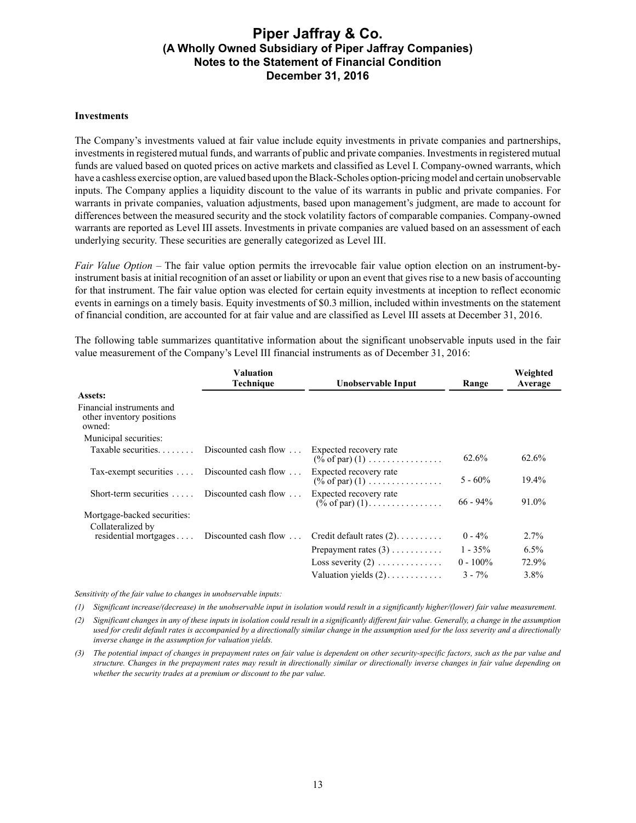#### **Investments**

The Company's investments valued at fair value include equity investments in private companies and partnerships, investments in registered mutual funds, and warrants of public and private companies. Investments in registered mutual funds are valued based on quoted prices on active markets and classified as Level I. Company-owned warrants, which have a cashless exercise option, are valued based upon the Black-Scholes option-pricing model and certain unobservable inputs. The Company applies a liquidity discount to the value of its warrants in public and private companies. For warrants in private companies, valuation adjustments, based upon management's judgment, are made to account for differences between the measured security and the stock volatility factors of comparable companies. Company-owned warrants are reported as Level III assets. Investments in private companies are valued based on an assessment of each underlying security. These securities are generally categorized as Level III.

*Fair Value Option –* The fair value option permits the irrevocable fair value option election on an instrument-byinstrument basis at initial recognition of an asset or liability or upon an event that gives rise to a new basis of accounting for that instrument. The fair value option was elected for certain equity investments at inception to reflect economic events in earnings on a timely basis. Equity investments of \$0.3 million, included within investments on the statement of financial condition, are accounted for at fair value and are classified as Level III assets at December 31, 2016.

The following table summarizes quantitative information about the significant unobservable inputs used in the fair value measurement of the Company's Level III financial instruments as of December 31, 2016:

|                                                                  | Valuation<br><b>Technique</b> | Unobservable Input                                                                | Range       | Weighted<br>Average |
|------------------------------------------------------------------|-------------------------------|-----------------------------------------------------------------------------------|-------------|---------------------|
| Assets:                                                          |                               |                                                                                   |             |                     |
| Financial instruments and<br>other inventory positions<br>owned: |                               |                                                                                   |             |                     |
| Municipal securities:                                            |                               |                                                                                   |             |                     |
| Taxable securities. $\ldots$                                     | Discounted cash flow $\dots$  | Expected recovery rate<br>$(\% \text{ of par})$ (1)                               | 62.6%       | 62.6%               |
| Tax-exempt securities  Discounted cash flow                      |                               | Expected recovery rate<br>$(\% \text{ of par}) (1) \dots \dots \dots \dots \dots$ | $5 - 60\%$  | 19.4%               |
| Short-term securities $\dots$ Discounted cash flow $\dots$       |                               | Expected recovery rate<br>$(\hat{\%} \text{ of par}) (1)$                         | $66 - 94\%$ | 91.0%               |
| Mortgage-backed securities:<br>Collateralized by                 |                               |                                                                                   |             |                     |
| $residental$ mortgages $\ldots$                                  | Discounted cash flow $\ldots$ | Credit default rates $(2)$                                                        | $0 - 4\%$   | $2.7\%$             |
|                                                                  |                               | Prepayment rates $(3)$                                                            | $1 - 35\%$  | $6.5\%$             |
|                                                                  |                               | Loss severity $(2)$                                                               | $0 - 100\%$ | 72.9%               |
|                                                                  |                               | Valuation vields $(2)$ ,                                                          | $3 - 7\%$   | $3.8\%$             |

*Sensitivity of the fair value to changes in unobservable inputs:*

*(1) Significant increase/(decrease) in the unobservable input in isolation would result in a significantly higher/(lower) fair value measurement.*

*(2) Significant changes in any of these inputs in isolation could result in a significantly different fair value. Generally, a change in the assumption used for credit default rates is accompanied by a directionally similar change in the assumption used for the loss severity and a directionally inverse change in the assumption for valuation yields.*

*(3) The potential impact of changes in prepayment rates on fair value is dependent on other security-specific factors, such as the par value and structure. Changes in the prepayment rates may result in directionally similar or directionally inverse changes in fair value depending on whether the security trades at a premium or discount to the par value.*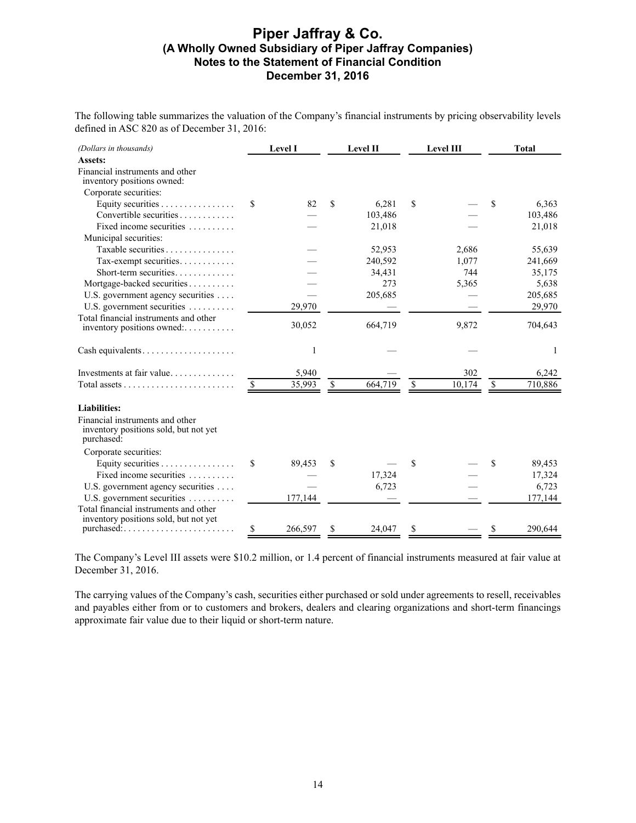The following table summarizes the valuation of the Company's financial instruments by pricing observability levels defined in ASC 820 as of December 31, 2016:

| (Dollars in thousands)                                                                 |    | Level I |    | Level II |               | Level III |               | <b>Total</b> |
|----------------------------------------------------------------------------------------|----|---------|----|----------|---------------|-----------|---------------|--------------|
| Assets:                                                                                |    |         |    |          |               |           |               |              |
| Financial instruments and other<br>inventory positions owned:                          |    |         |    |          |               |           |               |              |
| Corporate securities:                                                                  |    |         |    |          |               |           |               |              |
| Equity securities $\dots \dots \dots \dots \dots$                                      | S  | 82      | \$ | 6,281    | \$            |           | \$            | 6,363        |
| Convertible securities                                                                 |    |         |    | 103,486  |               |           |               | 103,486      |
| Fixed income securities                                                                |    |         |    | 21,018   |               |           |               | 21,018       |
| Municipal securities:                                                                  |    |         |    |          |               |           |               |              |
| Taxable securities                                                                     |    |         |    | 52,953   |               | 2,686     |               | 55,639       |
| Tax-exempt securities                                                                  |    |         |    | 240,592  |               | 1,077     |               | 241,669      |
| Short-term securities                                                                  |    |         |    | 34,431   |               | 744       |               | 35,175       |
| Mortgage-backed securities                                                             |    |         |    | 273      |               | 5,365     |               | 5,638        |
| U.S. government agency securities                                                      |    |         |    | 205,685  |               |           |               | 205,685      |
| U.S. government securities                                                             |    | 29,970  |    |          |               |           |               | 29,970       |
| Total financial instruments and other                                                  |    |         |    |          |               |           |               |              |
| inventory positions owned:                                                             |    | 30,052  |    | 664,719  |               | 9,872     |               | 704,643      |
|                                                                                        |    | 1       |    |          |               |           |               | 1            |
| Investments at fair value                                                              |    | 5,940   |    |          |               | 302       |               | 6,242        |
| Total assets $\ldots$ $\ldots$ $\ldots$ $\ldots$ $\ldots$ $\ldots$                     | -S | 35,993  | -S | 664,719  | $\mathbf{\$}$ | 10,174    | <sup>\$</sup> | 710,886      |
| <b>Liabilities:</b>                                                                    |    |         |    |          |               |           |               |              |
| Financial instruments and other<br>inventory positions sold, but not yet<br>purchased: |    |         |    |          |               |           |               |              |
| Corporate securities:                                                                  |    |         |    |          |               |           |               |              |
| Equity securities $\dots \dots \dots \dots$                                            | \$ | 89,453  | \$ |          | \$            |           | \$            | 89,453       |
| Fixed income securities                                                                |    |         |    | 17,324   |               |           |               | 17,324       |
| U.S. government agency securities                                                      |    |         |    | 6,723    |               |           |               | 6,723        |
| U.S. government securities                                                             |    | 177,144 |    |          |               |           |               | 177,144      |
| Total financial instruments and other                                                  |    |         |    |          |               |           |               |              |
| inventory positions sold, but not yet                                                  | \$ | 266,597 | \$ | 24,047   | \$            |           | \$            | 290,644      |

The Company's Level III assets were \$10.2 million, or 1.4 percent of financial instruments measured at fair value at December 31, 2016.

The carrying values of the Company's cash, securities either purchased or sold under agreements to resell, receivables and payables either from or to customers and brokers, dealers and clearing organizations and short-term financings approximate fair value due to their liquid or short-term nature.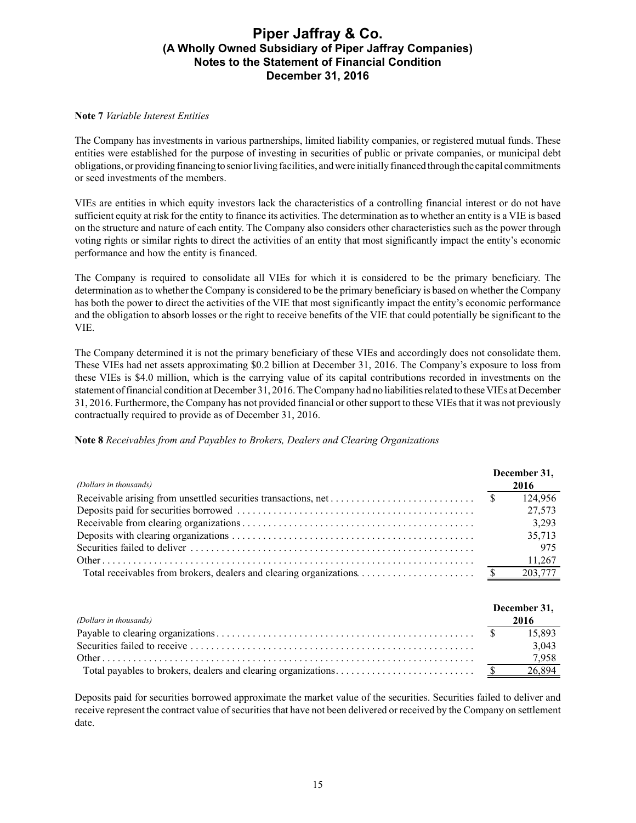### **Note 7** *Variable Interest Entities*

The Company has investments in various partnerships, limited liability companies, or registered mutual funds. These entities were established for the purpose of investing in securities of public or private companies, or municipal debt obligations, or providing financing to senior living facilities, and were initially financed through the capital commitments or seed investments of the members.

VIEs are entities in which equity investors lack the characteristics of a controlling financial interest or do not have sufficient equity at risk for the entity to finance its activities. The determination as to whether an entity is a VIE is based on the structure and nature of each entity. The Company also considers other characteristics such as the power through voting rights or similar rights to direct the activities of an entity that most significantly impact the entity's economic performance and how the entity is financed.

The Company is required to consolidate all VIEs for which it is considered to be the primary beneficiary. The determination as to whether the Company is considered to be the primary beneficiary is based on whether the Company has both the power to direct the activities of the VIE that most significantly impact the entity's economic performance and the obligation to absorb losses or the right to receive benefits of the VIE that could potentially be significant to the VIE.

The Company determined it is not the primary beneficiary of these VIEs and accordingly does not consolidate them. These VIEs had net assets approximating \$0.2 billion at December 31, 2016. The Company's exposure to loss from these VIEs is \$4.0 million, which is the carrying value of its capital contributions recorded in investments on the statement of financial condition at December 31, 2016. The Company had no liabilities related to these VIEs at December 31, 2016. Furthermore, the Company has not provided financial or other support to these VIEs that it was not previously contractually required to provide as of December 31, 2016.

**Note 8** *Receivables from and Payables to Brokers, Dealers and Clearing Organizations*

| (Dollars in thousands) | December 31, |
|------------------------|--------------|
|                        | 2016         |
|                        |              |
|                        | 27,573       |
|                        | 3,293        |
|                        | 35,713       |
|                        | 975          |
|                        | 11,267       |
|                        | 203,777      |

|                        | December 31, |
|------------------------|--------------|
| (Dollars in thousands) | 2016         |
|                        | 15.893       |
|                        | 3.043        |
|                        |              |
|                        | 26,894       |

Deposits paid for securities borrowed approximate the market value of the securities. Securities failed to deliver and receive represent the contract value of securities that have not been delivered or received by the Company on settlement date.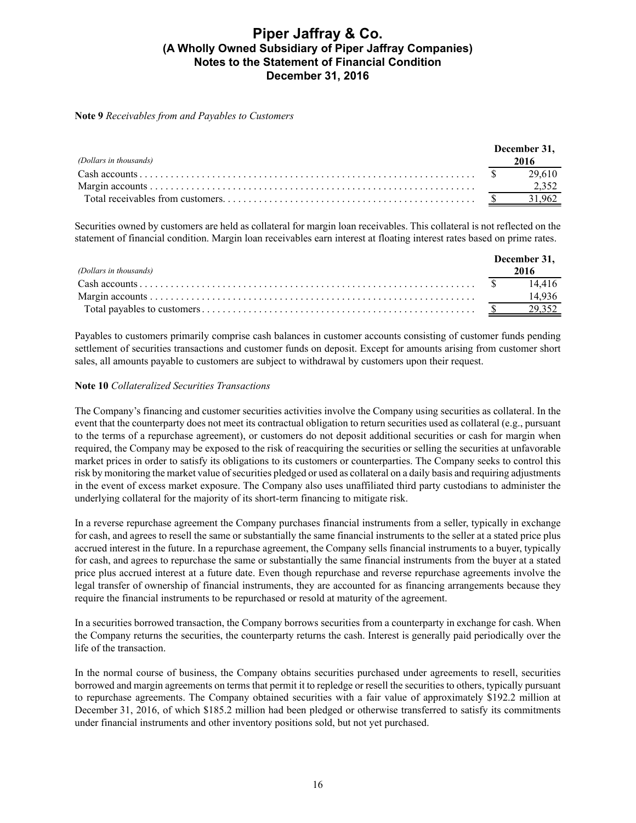#### **Note 9** *Receivables from and Payables to Customers*

| (Dollars in thousands) | December 31,<br>2016 |
|------------------------|----------------------|
|                        |                      |
|                        |                      |
|                        |                      |

Securities owned by customers are held as collateral for margin loan receivables. This collateral is not reflected on the statement of financial condition. Margin loan receivables earn interest at floating interest rates based on prime rates.

|                                                                                                               | December 31, |
|---------------------------------------------------------------------------------------------------------------|--------------|
| (Dollars in thousands)                                                                                        | 2016         |
| $\mathsf{Cash}\textrm{ accounts}\dots\dots\dots\dots\dots\dots\dots\dots\dots\dots\dots\dots\dots \mathsf{S}$ | 14416        |
|                                                                                                               | 14.936       |
|                                                                                                               |              |

Payables to customers primarily comprise cash balances in customer accounts consisting of customer funds pending settlement of securities transactions and customer funds on deposit. Except for amounts arising from customer short sales, all amounts payable to customers are subject to withdrawal by customers upon their request.

#### **Note 10** *Collateralized Securities Transactions*

The Company's financing and customer securities activities involve the Company using securities as collateral. In the event that the counterparty does not meet its contractual obligation to return securities used as collateral (e.g., pursuant to the terms of a repurchase agreement), or customers do not deposit additional securities or cash for margin when required, the Company may be exposed to the risk of reacquiring the securities or selling the securities at unfavorable market prices in order to satisfy its obligations to its customers or counterparties. The Company seeks to control this risk by monitoring the market value of securities pledged or used as collateral on a daily basis and requiring adjustments in the event of excess market exposure. The Company also uses unaffiliated third party custodians to administer the underlying collateral for the majority of its short-term financing to mitigate risk.

In a reverse repurchase agreement the Company purchases financial instruments from a seller, typically in exchange for cash, and agrees to resell the same or substantially the same financial instruments to the seller at a stated price plus accrued interest in the future. In a repurchase agreement, the Company sells financial instruments to a buyer, typically for cash, and agrees to repurchase the same or substantially the same financial instruments from the buyer at a stated price plus accrued interest at a future date. Even though repurchase and reverse repurchase agreements involve the legal transfer of ownership of financial instruments, they are accounted for as financing arrangements because they require the financial instruments to be repurchased or resold at maturity of the agreement.

In a securities borrowed transaction, the Company borrows securities from a counterparty in exchange for cash. When the Company returns the securities, the counterparty returns the cash. Interest is generally paid periodically over the life of the transaction.

In the normal course of business, the Company obtains securities purchased under agreements to resell, securities borrowed and margin agreements on terms that permit it to repledge or resell the securities to others, typically pursuant to repurchase agreements. The Company obtained securities with a fair value of approximately \$192.2 million at December 31, 2016, of which \$185.2 million had been pledged or otherwise transferred to satisfy its commitments under financial instruments and other inventory positions sold, but not yet purchased.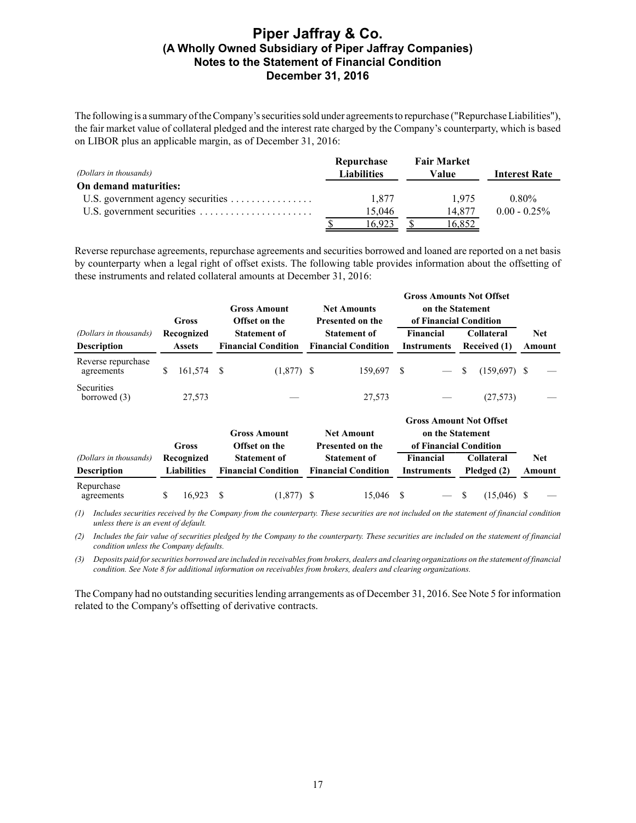The following is a summary of the Company's securities sold under agreements to repurchase ("Repurchase Liabilities"), the fair market value of collateral pledged and the interest rate charged by the Company's counterparty, which is based on LIBOR plus an applicable margin, as of December 31, 2016:

| (Dollars in thousands) | Repurchase<br><b>Liabilities</b> | <b>Fair Market</b><br>Value | <b>Interest Rate</b> |
|------------------------|----------------------------------|-----------------------------|----------------------|
| On demand maturities:  |                                  |                             |                      |
|                        | 1.877                            | 1.975                       | $0.80\%$             |
|                        | 15.046                           | 14.877                      | $0.00 - 0.25\%$      |
|                        | 16.923                           | 16,852                      |                      |

Reverse repurchase agreements, repurchase agreements and securities borrowed and loaned are reported on a net basis by counterparty when a legal right of offset exists. The following table provides information about the offsetting of these instruments and related collateral amounts at December 31, 2016:

|                                     |               | Gross              |                            | <b>Gross Amount</b><br>Offset on the |  | <b>Net Amounts</b><br>Presented on the | <b>Gross Amounts Not Offset</b><br>on the Statement<br>of Financial Condition |                                    |               |            |    |            |
|-------------------------------------|---------------|--------------------|----------------------------|--------------------------------------|--|----------------------------------------|-------------------------------------------------------------------------------|------------------------------------|---------------|------------|----|------------|
| (Dollars in thousands)              |               | Recognized         |                            | <b>Statement of</b>                  |  | <b>Statement of</b>                    | <b>Financial</b><br><b>Collateral</b>                                         |                                    |               | <b>Net</b> |    |            |
| <b>Description</b>                  | <b>Assets</b> |                    | <b>Financial Condition</b> |                                      |  | <b>Financial Condition</b>             |                                                                               | Received (1)<br><b>Instruments</b> |               |            |    | Amount     |
| Reverse repurchase<br>agreements    | \$            | 161,574            | -S                         | $(1,877)$ \$                         |  | 159,697                                | <sup>\$</sup>                                                                 |                                    | <sup>\$</sup> | (159,697)  | -S |            |
| <b>Securities</b><br>borrowed $(3)$ |               | 27,573             |                            |                                      |  | 27,573                                 |                                                                               |                                    |               | (27, 573)  |    |            |
|                                     |               | Gross              |                            | <b>Gross Amount</b><br>Offset on the |  | <b>Net Amount</b><br>Presented on the  | <b>Gross Amount Not Offset</b><br>on the Statement<br>of Financial Condition  |                                    |               |            |    |            |
| (Dollars in thousands)              |               | Recognized         |                            | <b>Statement of</b>                  |  | <b>Statement of</b>                    | <b>Financial</b><br><b>Collateral</b>                                         |                                    |               |            |    | <b>Net</b> |
| <b>Description</b>                  |               | <b>Liabilities</b> |                            | <b>Financial Condition</b>           |  | <b>Financial Condition</b>             | Pledged (2)<br><b>Instruments</b>                                             |                                    |               |            |    | Amount     |
| Repurchase<br>agreements            | \$            | 16,923             | S                          | $(1,877)$ \$                         |  | 15,046                                 | <sup>\$</sup>                                                                 |                                    | -S            | (15,046)   | S  |            |

*(1) Includes securities received by the Company from the counterparty. These securities are not included on the statement of financial condition unless there is an event of default.*

*(2) Includes the fair value of securities pledged by the Company to the counterparty. These securities are included on the statement of financial condition unless the Company defaults.*

*(3) Deposits paid for securities borrowed are included in receivables from brokers, dealers and clearing organizations on the statement of financial condition. See Note 8 for additional information on receivables from brokers, dealers and clearing organizations.*

The Company had no outstanding securities lending arrangements as of December 31, 2016. See Note 5 for information related to the Company's offsetting of derivative contracts.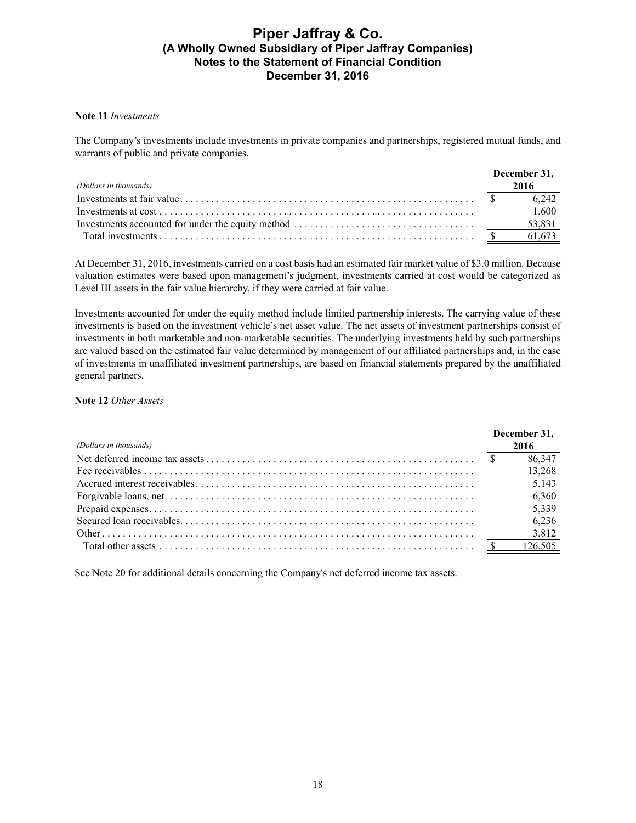### **Note 11** *Investments*

The Company's investments include investments in private companies and partnerships, registered mutual funds, and warrants of public and private companies.

|                        | December 31, |
|------------------------|--------------|
| (Dollars in thousands) | 2016         |
|                        | 6.242        |
|                        | 1.600        |
|                        | 53,831       |
|                        |              |

At December 31, 2016, investments carried on a cost basis had an estimated fair market value of \$3.0 million. Because valuation estimates were based upon management's judgment, investments carried at cost would be categorized as Level III assets in the fair value hierarchy, if they were carried at fair value.

Investments accounted for under the equity method include limited partnership interests. The carrying value of these investments is based on the investment vehicle's net asset value. The net assets of investment partnerships consist of investments in both marketable and non-marketable securities. The underlying investments held by such partnerships are valued based on the estimated fair value determined by management of our affiliated partnerships and, in the case of investments in unaffiliated investment partnerships, are based on financial statements prepared by the unaffiliated general partners.

### **Note 12** *Other Assets*

|                        | December 31. |        |
|------------------------|--------------|--------|
| (Dollars in thousands) |              | 2016   |
|                        |              | 86,347 |
|                        |              | 13,268 |
|                        |              | 5,143  |
|                        |              | 6,360  |
|                        |              | 5,339  |
|                        |              | 6,236  |
|                        |              | 3,812  |
|                        |              |        |

See Note 20 for additional details concerning the Company's net deferred income tax assets.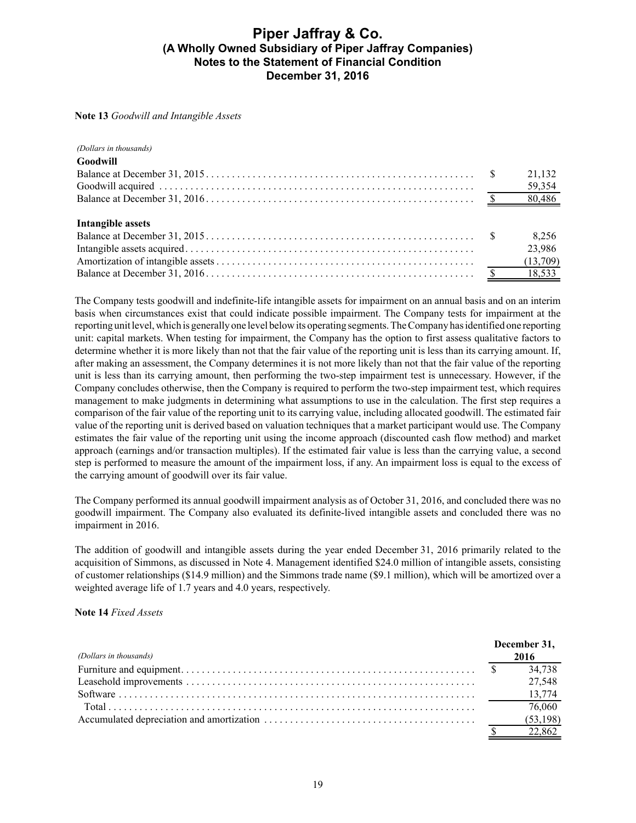#### **Note 13** *Goodwill and Intangible Assets*

#### *(Dollars in thousands)*  $G \cup U$

| - Goodwill        |        |
|-------------------|--------|
|                   | 21,132 |
|                   | 59,354 |
|                   |        |
|                   |        |
| Intangible assets |        |
|                   | 8,256  |
|                   | 23,986 |
|                   |        |
|                   |        |
|                   |        |

The Company tests goodwill and indefinite-life intangible assets for impairment on an annual basis and on an interim basis when circumstances exist that could indicate possible impairment. The Company tests for impairment at the reporting unit level, which is generally one level below its operating segments. The Company has identified one reporting unit: capital markets. When testing for impairment, the Company has the option to first assess qualitative factors to determine whether it is more likely than not that the fair value of the reporting unit is less than its carrying amount. If, after making an assessment, the Company determines it is not more likely than not that the fair value of the reporting unit is less than its carrying amount, then performing the two-step impairment test is unnecessary. However, if the Company concludes otherwise, then the Company is required to perform the two-step impairment test, which requires management to make judgments in determining what assumptions to use in the calculation. The first step requires a comparison of the fair value of the reporting unit to its carrying value, including allocated goodwill. The estimated fair value of the reporting unit is derived based on valuation techniques that a market participant would use. The Company estimates the fair value of the reporting unit using the income approach (discounted cash flow method) and market approach (earnings and/or transaction multiples). If the estimated fair value is less than the carrying value, a second step is performed to measure the amount of the impairment loss, if any. An impairment loss is equal to the excess of the carrying amount of goodwill over its fair value.

The Company performed its annual goodwill impairment analysis as of October 31, 2016, and concluded there was no goodwill impairment. The Company also evaluated its definite-lived intangible assets and concluded there was no impairment in 2016.

The addition of goodwill and intangible assets during the year ended December 31, 2016 primarily related to the acquisition of Simmons, as discussed in Note 4. Management identified \$24.0 million of intangible assets, consisting of customer relationships (\$14.9 million) and the Simmons trade name (\$9.1 million), which will be amortized over a weighted average life of 1.7 years and 4.0 years, respectively.

### **Note 14** *Fixed Assets*

|                        | December 31, |
|------------------------|--------------|
| (Dollars in thousands) | 2016         |
|                        |              |
|                        | 27,548       |
|                        |              |
|                        | 76.060       |
|                        | (53, 198)    |
|                        | 22.862       |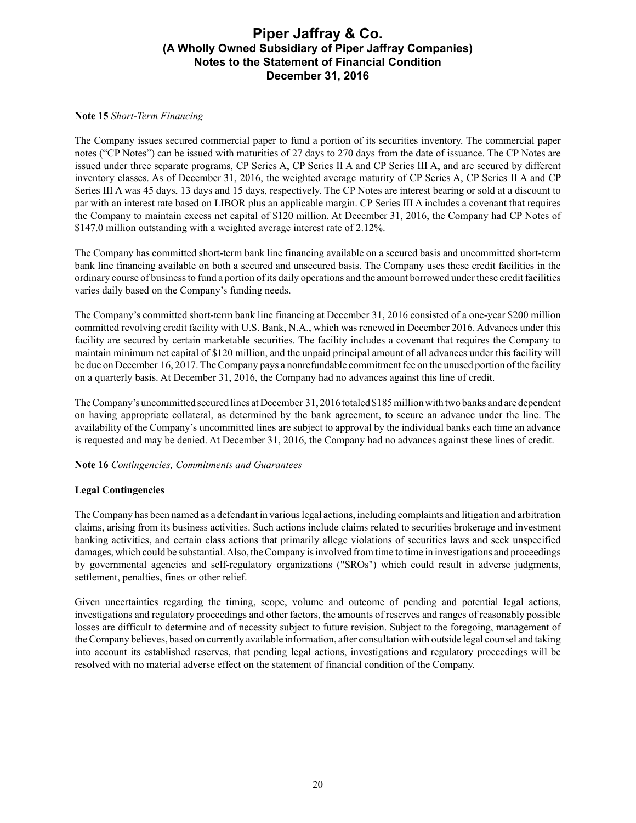### **Note 15** *Short-Term Financing*

The Company issues secured commercial paper to fund a portion of its securities inventory. The commercial paper notes ("CP Notes") can be issued with maturities of 27 days to 270 days from the date of issuance. The CP Notes are issued under three separate programs, CP Series A, CP Series II A and CP Series III A, and are secured by different inventory classes. As of December 31, 2016, the weighted average maturity of CP Series A, CP Series II A and CP Series III A was 45 days, 13 days and 15 days, respectively. The CP Notes are interest bearing or sold at a discount to par with an interest rate based on LIBOR plus an applicable margin. CP Series III A includes a covenant that requires the Company to maintain excess net capital of \$120 million. At December 31, 2016, the Company had CP Notes of \$147.0 million outstanding with a weighted average interest rate of 2.12%.

The Company has committed short-term bank line financing available on a secured basis and uncommitted short-term bank line financing available on both a secured and unsecured basis. The Company uses these credit facilities in the ordinary course of business to fund a portion of its daily operations and the amount borrowed under these credit facilities varies daily based on the Company's funding needs.

The Company's committed short-term bank line financing at December 31, 2016 consisted of a one-year \$200 million committed revolving credit facility with U.S. Bank, N.A., which was renewed in December 2016. Advances under this facility are secured by certain marketable securities. The facility includes a covenant that requires the Company to maintain minimum net capital of \$120 million, and the unpaid principal amount of all advances under this facility will be due on December 16, 2017. The Company pays a nonrefundable commitment fee on the unused portion of the facility on a quarterly basis. At December 31, 2016, the Company had no advances against this line of credit.

The Company's uncommitted secured lines at December 31, 2016 totaled \$185 millionwith two banks and are dependent on having appropriate collateral, as determined by the bank agreement, to secure an advance under the line. The availability of the Company's uncommitted lines are subject to approval by the individual banks each time an advance is requested and may be denied. At December 31, 2016, the Company had no advances against these lines of credit.

### **Note 16** *Contingencies, Commitments and Guarantees*

### **Legal Contingencies**

The Company has been named as a defendant in various legal actions, including complaints and litigation and arbitration claims, arising from its business activities. Such actions include claims related to securities brokerage and investment banking activities, and certain class actions that primarily allege violations of securities laws and seek unspecified damages, which could be substantial. Also, the Company is involved from time to time in investigations and proceedings by governmental agencies and self-regulatory organizations ("SROs") which could result in adverse judgments, settlement, penalties, fines or other relief.

Given uncertainties regarding the timing, scope, volume and outcome of pending and potential legal actions, investigations and regulatory proceedings and other factors, the amounts of reserves and ranges of reasonably possible losses are difficult to determine and of necessity subject to future revision. Subject to the foregoing, management of the Company believes, based on currently available information, after consultation with outside legal counsel and taking into account its established reserves, that pending legal actions, investigations and regulatory proceedings will be resolved with no material adverse effect on the statement of financial condition of the Company.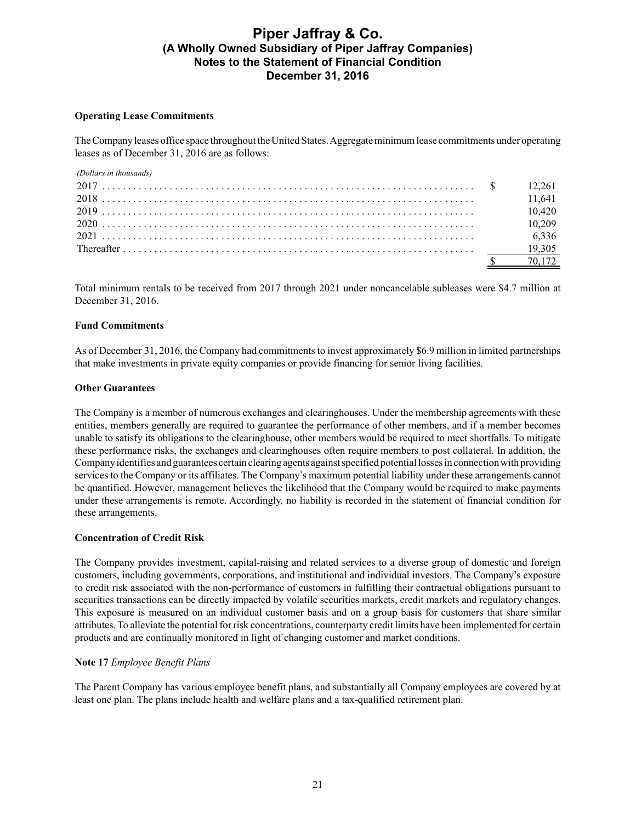### **Operating Lease Commitments**

The Company leases office space throughout the United States. Aggregate minimum lease commitments under operating leases as of December 31, 2016 are as follows:

| (Dollars in thousands) |        |
|------------------------|--------|
|                        |        |
|                        | 11.641 |
|                        | 10.420 |
|                        | 10.209 |
|                        | 6,336  |
|                        | 19.305 |
|                        | 70 172 |

Total minimum rentals to be received from 2017 through 2021 under noncancelable subleases were \$4.7 million at December 31, 2016.

### **Fund Commitments**

As of December 31, 2016, the Company had commitments to invest approximately \$6.9 million in limited partnerships that make investments in private equity companies or provide financing for senior living facilities.

#### **Other Guarantees**

The Company is a member of numerous exchanges and clearinghouses. Under the membership agreements with these entities, members generally are required to guarantee the performance of other members, and if a member becomes unable to satisfy its obligations to the clearinghouse, other members would be required to meet shortfalls. To mitigate these performance risks, the exchanges and clearinghouses often require members to post collateral. In addition, the Company identifies and guarantees certain clearing agents against specified potential losses in connection with providing services to the Company or its affiliates. The Company's maximum potential liability under these arrangements cannot be quantified. However, management believes the likelihood that the Company would be required to make payments under these arrangements is remote. Accordingly, no liability is recorded in the statement of financial condition for these arrangements.

#### **Concentration of Credit Risk**

The Company provides investment, capital-raising and related services to a diverse group of domestic and foreign customers, including governments, corporations, and institutional and individual investors. The Company's exposure to credit risk associated with the non-performance of customers in fulfilling their contractual obligations pursuant to securities transactions can be directly impacted by volatile securities markets, credit markets and regulatory changes. This exposure is measured on an individual customer basis and on a group basis for customers that share similar attributes. To alleviate the potential for risk concentrations, counterparty credit limits have been implemented for certain products and are continually monitored in light of changing customer and market conditions.

#### **Note 17** *Employee Benefit Plans*

The Parent Company has various employee benefit plans, and substantially all Company employees are covered by at least one plan. The plans include health and welfare plans and a tax-qualified retirement plan.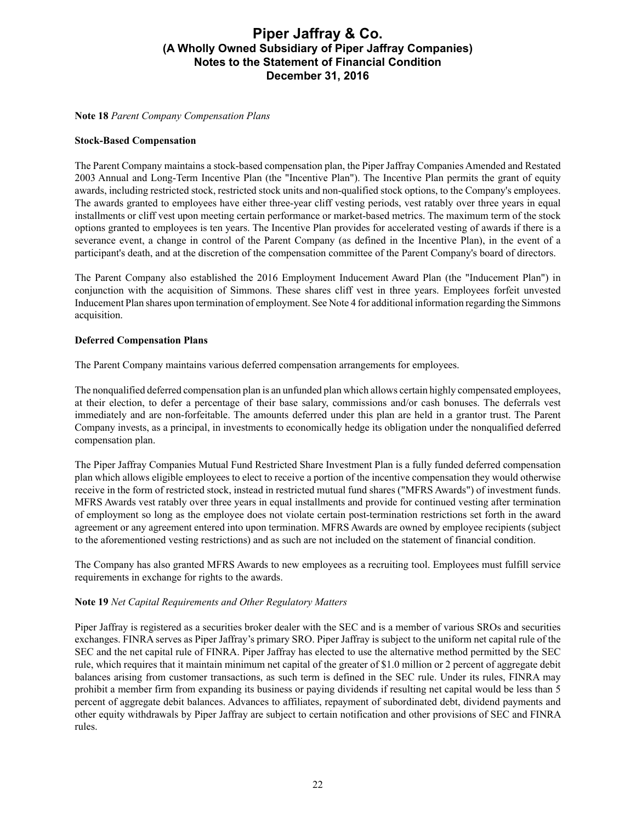**Note 18** *Parent Company Compensation Plans*

### **Stock-Based Compensation**

The Parent Company maintains a stock-based compensation plan, the Piper Jaffray Companies Amended and Restated 2003 Annual and Long-Term Incentive Plan (the "Incentive Plan"). The Incentive Plan permits the grant of equity awards, including restricted stock, restricted stock units and non-qualified stock options, to the Company's employees. The awards granted to employees have either three-year cliff vesting periods, vest ratably over three years in equal installments or cliff vest upon meeting certain performance or market-based metrics. The maximum term of the stock options granted to employees is ten years. The Incentive Plan provides for accelerated vesting of awards if there is a severance event, a change in control of the Parent Company (as defined in the Incentive Plan), in the event of a participant's death, and at the discretion of the compensation committee of the Parent Company's board of directors.

The Parent Company also established the 2016 Employment Inducement Award Plan (the "Inducement Plan") in conjunction with the acquisition of Simmons. These shares cliff vest in three years. Employees forfeit unvested Inducement Plan shares upon termination of employment. See Note 4 for additional information regarding the Simmons acquisition.

### **Deferred Compensation Plans**

The Parent Company maintains various deferred compensation arrangements for employees.

The nonqualified deferred compensation plan is an unfunded plan which allows certain highly compensated employees, at their election, to defer a percentage of their base salary, commissions and/or cash bonuses. The deferrals vest immediately and are non-forfeitable. The amounts deferred under this plan are held in a grantor trust. The Parent Company invests, as a principal, in investments to economically hedge its obligation under the nonqualified deferred compensation plan.

The Piper Jaffray Companies Mutual Fund Restricted Share Investment Plan is a fully funded deferred compensation plan which allows eligible employees to elect to receive a portion of the incentive compensation they would otherwise receive in the form of restricted stock, instead in restricted mutual fund shares ("MFRS Awards") of investment funds. MFRS Awards vest ratably over three years in equal installments and provide for continued vesting after termination of employment so long as the employee does not violate certain post-termination restrictions set forth in the award agreement or any agreement entered into upon termination. MFRS Awards are owned by employee recipients (subject to the aforementioned vesting restrictions) and as such are not included on the statement of financial condition.

The Company has also granted MFRS Awards to new employees as a recruiting tool. Employees must fulfill service requirements in exchange for rights to the awards.

### **Note 19** *Net Capital Requirements and Other Regulatory Matters*

Piper Jaffray is registered as a securities broker dealer with the SEC and is a member of various SROs and securities exchanges. FINRA serves as Piper Jaffray's primary SRO. Piper Jaffray is subject to the uniform net capital rule of the SEC and the net capital rule of FINRA. Piper Jaffray has elected to use the alternative method permitted by the SEC rule, which requires that it maintain minimum net capital of the greater of \$1.0 million or 2 percent of aggregate debit balances arising from customer transactions, as such term is defined in the SEC rule. Under its rules, FINRA may prohibit a member firm from expanding its business or paying dividends if resulting net capital would be less than 5 percent of aggregate debit balances. Advances to affiliates, repayment of subordinated debt, dividend payments and other equity withdrawals by Piper Jaffray are subject to certain notification and other provisions of SEC and FINRA rules.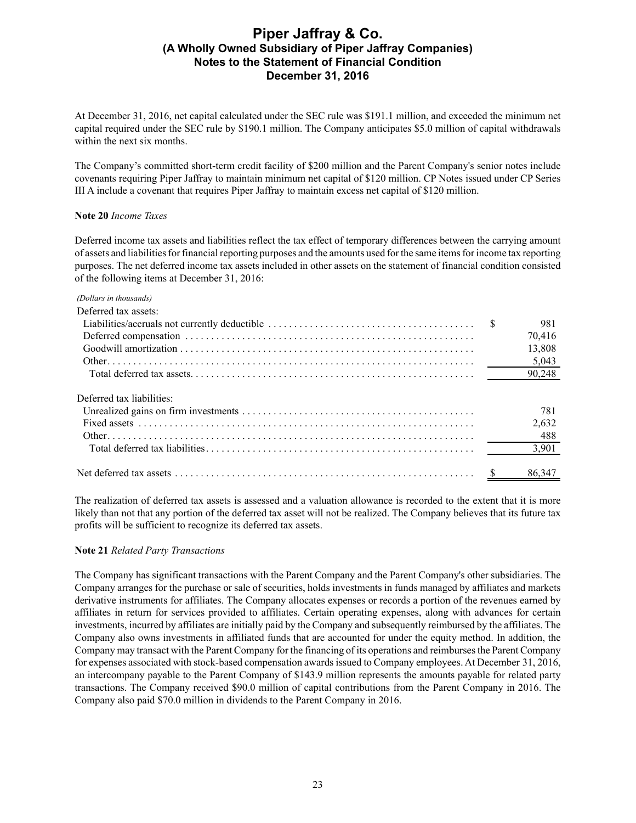At December 31, 2016, net capital calculated under the SEC rule was \$191.1 million, and exceeded the minimum net capital required under the SEC rule by \$190.1 million. The Company anticipates \$5.0 million of capital withdrawals within the next six months.

The Company's committed short-term credit facility of \$200 million and the Parent Company's senior notes include covenants requiring Piper Jaffray to maintain minimum net capital of \$120 million. CP Notes issued under CP Series III A include a covenant that requires Piper Jaffray to maintain excess net capital of \$120 million.

### **Note 20** *Income Taxes*

Deferred income tax assets and liabilities reflect the tax effect of temporary differences between the carrying amount of assets and liabilities for financial reporting purposes and the amounts used for the same items for income tax reporting purposes. The net deferred income tax assets included in other assets on the statement of financial condition consisted of the following items at December 31, 2016:

#### *(Dollars in thousands)*

| Deferred tax assets:      |        |
|---------------------------|--------|
|                           | 981    |
|                           | 70,416 |
|                           | 13,808 |
|                           | 5,043  |
|                           | 90,248 |
| Deferred tax liabilities: |        |
|                           | 781    |
|                           | 2,632  |
|                           | 488    |
|                           | 3,901  |
|                           | 86.347 |

The realization of deferred tax assets is assessed and a valuation allowance is recorded to the extent that it is more likely than not that any portion of the deferred tax asset will not be realized. The Company believes that its future tax profits will be sufficient to recognize its deferred tax assets.

#### **Note 21** *Related Party Transactions*

The Company has significant transactions with the Parent Company and the Parent Company's other subsidiaries. The Company arranges for the purchase or sale of securities, holds investments in funds managed by affiliates and markets derivative instruments for affiliates. The Company allocates expenses or records a portion of the revenues earned by affiliates in return for services provided to affiliates. Certain operating expenses, along with advances for certain investments, incurred by affiliates are initially paid by the Company and subsequently reimbursed by the affiliates. The Company also owns investments in affiliated funds that are accounted for under the equity method. In addition, the Company may transact with the Parent Company for the financing of its operations and reimburses the Parent Company for expenses associated with stock-based compensation awards issued to Company employees. At December 31, 2016, an intercompany payable to the Parent Company of \$143.9 million represents the amounts payable for related party transactions. The Company received \$90.0 million of capital contributions from the Parent Company in 2016. The Company also paid \$70.0 million in dividends to the Parent Company in 2016.